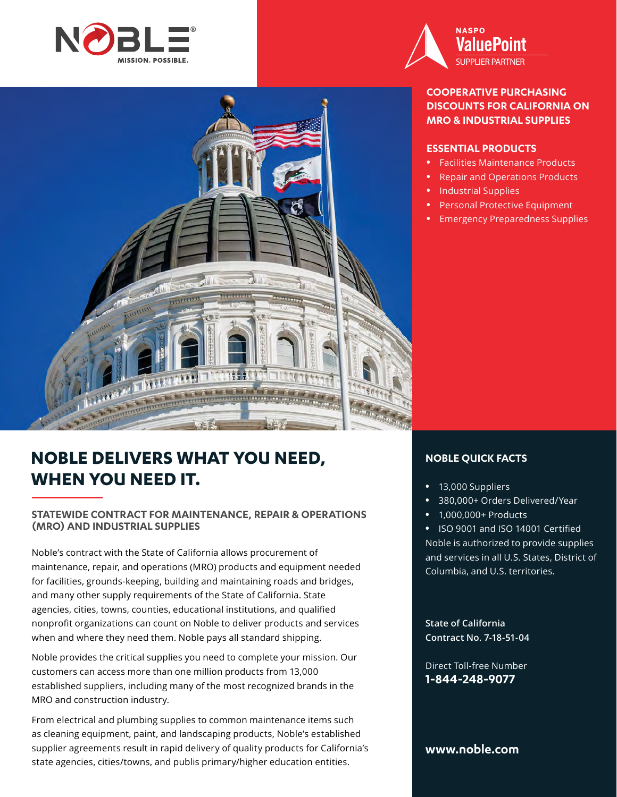



## **COOPERATIVE PURCHASING DISCOUNTS FOR CALIFORNIA ON MRO & INDUSTRIAL SUPPLIES**

### **ESSENTIAL PRODUCTS**

- **•** Facilities Maintenance Products
- **•** Repair and Operations Products
- **•** Industrial Supplies
- **•** Personal Protective Equipment
- **•** Emergency Preparedness Supplies



## **STATEWIDE CONTRACT FOR MAINTENANCE, REPAIR & OPERATIONS (MRO) AND INDUSTRIAL SUPPLIES**

Noble's contract with the State of California allows procurement of maintenance, repair, and operations (MRO) products and equipment needed for facilities, grounds-keeping, building and maintaining roads and bridges, and many other supply requirements of the State of California. State agencies, cities, towns, counties, educational institutions, and qualified nonprofit organizations can count on Noble to deliver products and services when and where they need them. Noble pays all standard shipping.

Noble provides the critical supplies you need to complete your mission. Our customers can access more than one million products from 13,000 established suppliers, including many of the most recognized brands in the MRO and construction industry.

From electrical and plumbing supplies to common maintenance items such as cleaning equipment, paint, and landscaping products, Noble's established supplier agreements result in rapid delivery of quality products for California's state agencies, cities/towns, and publis primary/higher education entities.

## **NOBLE QUICK FACTS**

- **•** 13,000 Suppliers
- **•** 380,000+ Orders Delivered/Year
- **•** 1,000,000+ Products

**•** ISO 9001 and ISO 14001 Certified Noble is authorized to provide supplies and services in all U.S. States, District of Columbia, and U.S. territories.

**State of California Contract No. 7-18-51-04**

Direct Toll-free Number **1-844-248-9077**

## **www.noble.com**